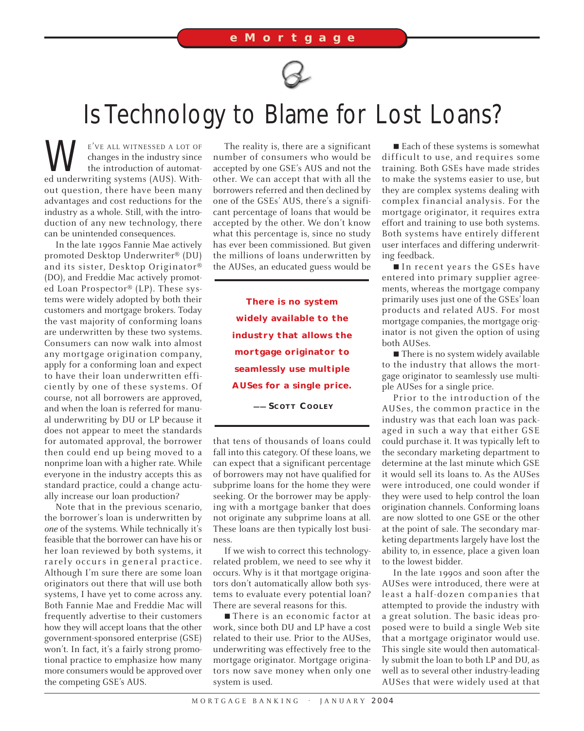

## Is Technology to Blame for Lost Loans?

WE'VE ALL WITNESSED A LOT OF the industry since the industry since the introduction of automat-<br>ed underwriting systems (AUS). Withchanges in the industry since the introduction of automatout question, there have been many advantages and cost reductions for the industry as a whole. Still, with the introduction of any new technology, there can be unintended consequences.

In the late 1990s Fannie Mae actively promoted Desktop Underwriter® (DU) and its sister, Desktop Originator® (DO), and Freddie Mac actively promoted Loan Prospector® (LP). These systems were widely adopted by both their customers and mortgage brokers. Today the vast majority of conforming loans are underwritten by these two systems. Consumers can now walk into almost any mortgage origination company, apply for a conforming loan and expect to have their loan underwritten efficiently by one of these systems. Of course, not all borrowers are approved, and when the loan is referred for manual underwriting by DU or LP because it does not appear to meet the standards for automated approval, the borrower then could end up being moved to a nonprime loan with a higher rate. While everyone in the industry accepts this as standard practice, could a change actually increase our loan production?

Note that in the previous scenario, the borrower's loan is underwritten by *one* of the systems. While technically it's feasible that the borrower can have his or her loan reviewed by both systems, it rarely occurs in general practice. Although I'm sure there are some loan originators out there that will use both systems, I have yet to come across any. Both Fannie Mae and Freddie Mac will frequently advertise to their customers how they will accept loans that the other government-sponsored enterprise (GSE) won't. In fact, it's a fairly strong promotional practice to emphasize how many more consumers would be approved over the competing GSE's AUS.

The reality is, there are a significant number of consumers who would be accepted by one GSE's AUS and not the other. We can accept that with all the borrowers referred and then declined by one of the GSEs' AUS, there's a significant percentage of loans that would be accepted by the other. We don't know what this percentage is, since no study has ever been commissioned. But given the millions of loans underwritten by the AUSes, an educated guess would be

> **There is no system widely available to the industry that allows the mortgage originator to seamlessly use multiple AUSes for a single price.**

**—— SCOTT COOLEY** *TowerGroup*

that tens of thousands of loans could fall into this category. Of these loans, we can expect that a significant percentage of borrowers may not have qualified for subprime loans for the home they were seeking. Or the borrower may be applying with a mortgage banker that does not originate any subprime loans at all. These loans are then typically lost business.

If we wish to correct this technologyrelated problem, we need to see why it occurs. Why is it that mortgage originators don't automatically allow both systems to evaluate every potential loan? There are several reasons for this.

■ There is an economic factor at work, since both DU and LP have a cost related to their use. Prior to the AUSes, underwriting was effectively free to the mortgage originator. Mortgage originators now save money when only one system is used.

■ Each of these systems is somewhat difficult to use, and requires some training. Both GSEs have made strides to make the systems easier to use, but they are complex systems dealing with complex financial analysis. For the mortgage originator, it requires extra effort and training to use both systems. Both systems have entirely different user interfaces and differing underwriting feedback.

■ In recent years the GSEs have entered into primary supplier agreements, whereas the mortgage company primarily uses just one of the GSEs' loan products and related AUS. For most mortgage companies, the mortgage originator is not given the option of using both AUSes.

■ There is no system widely available to the industry that allows the mortgage originator to seamlessly use multiple AUSes for a single price.

Prior to the introduction of the AUSes, the common practice in the industry was that each loan was packaged in such a way that either GSE could purchase it. It was typically left to the secondary marketing department to determine at the last minute which GSE it would sell its loans to. As the AUSes were introduced, one could wonder if they were used to help control the loan origination channels. Conforming loans are now slotted to one GSE or the other at the point of sale. The secondary marketing departments largely have lost the ability to, in essence, place a given loan to the lowest bidder.

In the late 1990s and soon after the AUSes were introduced, there were at least a half-dozen companies that attempted to provide the industry with a great solution. The basic ideas proposed were to build a single Web site that a mortgage originator would use. This single site would then automatically submit the loan to both LP and DU, as well as to several other industry-leading AUSes that were widely used at that